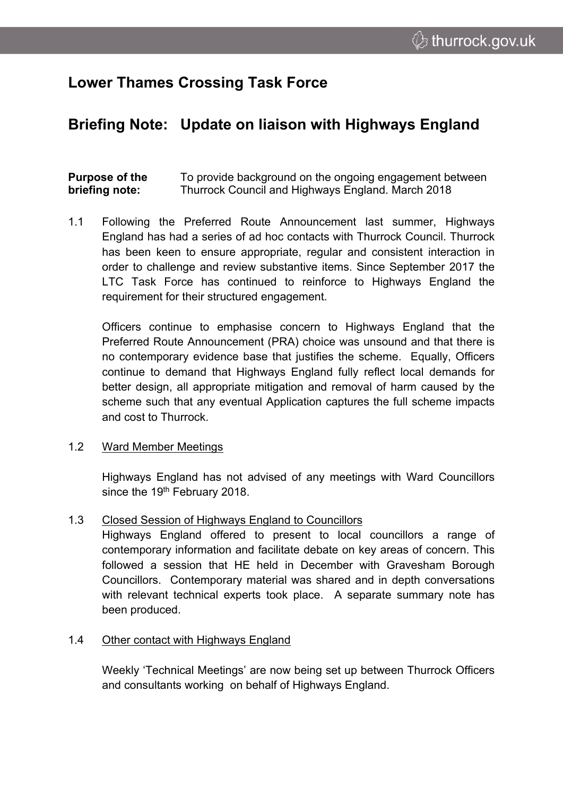# **Lower Thames Crossing Task Force**

# **Briefing Note: Update on liaison with Highways England**

#### **Purpose of the briefing note:** To provide background on the ongoing engagement between Thurrock Council and Highways England. March 2018

1.1 Following the Preferred Route Announcement last summer, Highways England has had a series of ad hoc contacts with Thurrock Council. Thurrock has been keen to ensure appropriate, regular and consistent interaction in order to challenge and review substantive items. Since September 2017 the LTC Task Force has continued to reinforce to Highways England the requirement for their structured engagement.

Officers continue to emphasise concern to Highways England that the Preferred Route Announcement (PRA) choice was unsound and that there is no contemporary evidence base that justifies the scheme. Equally, Officers continue to demand that Highways England fully reflect local demands for better design, all appropriate mitigation and removal of harm caused by the scheme such that any eventual Application captures the full scheme impacts and cost to Thurrock.

### 1.2 Ward Member Meetings

Highways England has not advised of any meetings with Ward Councillors since the 19<sup>th</sup> February 2018.

## 1.3 Closed Session of Highways England to Councillors

Highways England offered to present to local councillors a range of contemporary information and facilitate debate on key areas of concern. This followed a session that HE held in December with Gravesham Borough Councillors. Contemporary material was shared and in depth conversations with relevant technical experts took place. A separate summary note has been produced.

### 1.4 Other contact with Highways England

Weekly 'Technical Meetings' are now being set up between Thurrock Officers and consultants working on behalf of Highways England.